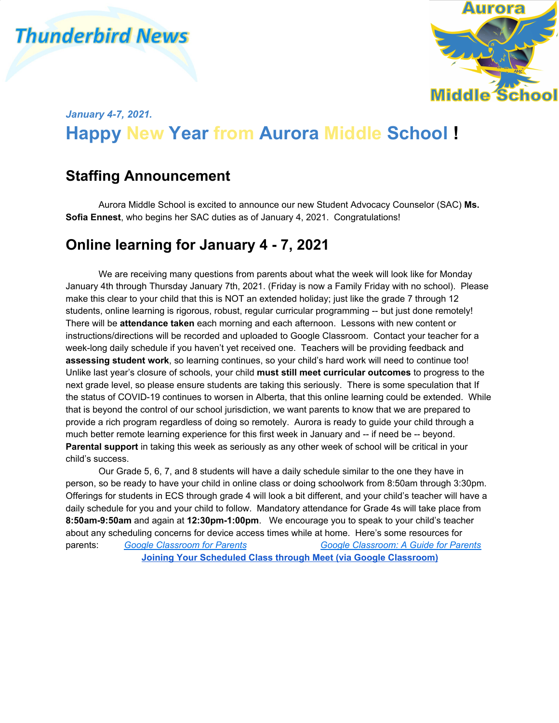# **Thunderbird News**



### *January 4-7, 2021.* **Happy New Year from Aurora Middle School !**

### **Staffing Announcement**

Aurora Middle School is excited to announce our new Student Advocacy Counselor (SAC) **Ms. Sofia Ennest**, who begins her SAC duties as of January 4, 2021. Congratulations!

#### **Online learning for January 4 - 7, 2021**

We are receiving many questions from parents about what the week will look like for Monday January 4th through Thursday January 7th, 2021. (Friday is now a Family Friday with no school). Please make this clear to your child that this is NOT an extended holiday; just like the grade 7 through 12 students, online learning is rigorous, robust, regular curricular programming -- but just done remotely! There will be **attendance taken** each morning and each afternoon. Lessons with new content or instructions/directions will be recorded and uploaded to Google Classroom. Contact your teacher for a week-long daily schedule if you haven't yet received one. Teachers will be providing feedback and **assessing student work**, so learning continues, so your child's hard work will need to continue too! Unlike last year's closure of schools, your child **must still meet curricular outcomes** to progress to the next grade level, so please ensure students are taking this seriously. There is some speculation that If the status of COVID-19 continues to worsen in Alberta, that this online learning could be extended. While that is beyond the control of our school jurisdiction, we want parents to know that we are prepared to provide a rich program regardless of doing so remotely. Aurora is ready to guide your child through a much better remote learning experience for this first week in January and -- if need be -- beyond. **Parental support** in taking this week as seriously as any other week of school will be critical in your child's success.

Our Grade 5, 6, 7, and 8 students will have a daily schedule similar to the one they have in person, so be ready to have your child in online class or doing schoolwork from 8:50am through 3:30pm. Offerings for students in ECS through grade 4 will look a bit different, and your child's teacher will have a daily schedule for you and your child to follow. Mandatory attendance for Grade 4s will take place from **8:50am-9:50am** and again at **12:30pm-1:00pm**. We encourage you to speak to your child's teacher about any scheduling concerns for device access times while at home. Here's some resources for parents: *Google [Classroom](https://youtu.be/hGo1cIL1U9o) for Parents Google [Classroom:](https://youtu.be/Rx0hjhyufms) A Guide for Parents* **Joining Your Scheduled Class through Meet (via Google [Classroom\)](https://drive.google.com/file/d/1XwzBxWjwl0SFInf8p2ps_2Dl3zjkL2CJ/view)**